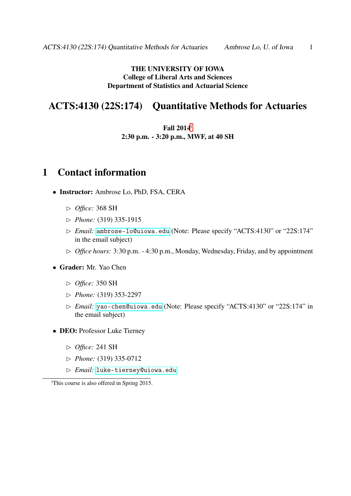### THE UNIVERSITY OF IOWA College of Liberal Arts and Sciences Department of Statistics and Actuarial Science

### ACTS:4130 (22S:174) Quantitative Methods for Actuaries

Fall 2014[i](#page-0-0) 2:30 p.m. - 3:20 p.m., MWF, at 40 SH

### 1 Contact information

- Instructor: Ambrose Lo, PhD, FSA, CERA
	- ✄ *Office:* 368 SH
	- ✄ *Phone:* (319) 335-1915
	- ✄ *Email:* <ambrose-lo@uiowa.edu> (Note: Please specify "ACTS:4130" or "22S:174" in the email subject)
	- ✄ *Office hours:* 3:30 p.m. 4:30 p.m., Monday, Wednesday, Friday, and by appointment
- Grader: Mr. Yao Chen
	- ✄ *Office:* 350 SH
	- ✄ *Phone:* (319) 353-2297
	- ✄ *Email:* <yao-chen@uiowa.edu> (Note: Please specify "ACTS:4130" or "22S:174" in the email subject)
- DEO: Professor Luke Tierney
	- ✄ *Office:* 241 SH
	- ✄ *Phone:* (319) 335-0712
	- ✄ *Email:* <luke-tierney@uiowa.edu>

<span id="page-0-0"></span><sup>i</sup>This course is also offered in Spring 2015.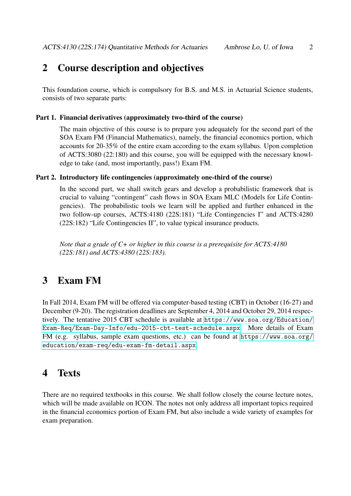# 2 Course description and objectives

This foundation course, which is compulsory for B.S. and M.S. in Actuarial Science students, consists of two separate parts:

#### Part 1. Financial derivatives (approximately two-third of the course)

The main objective of this course is to prepare you adequately for the second part of the SOA Exam FM (Financial Mathematics), namely, the financial economics portion, which accounts for 20-35% of the entire exam according to the exam syllabus. Upon completion of ACTS:3080 (22:180) and this course, you will be equipped with the necessary knowledge to take (and, most importantly, pass!) Exam FM.

#### Part 2. Introductory life contingencies (approximately one-third of the course)

In the second part, we shall switch gears and develop a probabilistic framework that is crucial to valuing "contingent" cash flows in SOA Exam MLC (Models for Life Contingencies). The probabilistic tools we learn will be applied and further enhanced in the two follow-up courses, ACTS:4180 (22S:181) "Life Contingencies I" and ACTS:4280 (22S:182) "Life Contingencies II", to value typical insurance products.

*Note that a grade of C+ or higher in this course is a prerequisite for ACTS:4180 (22S:181) and ACTS:4380 (22S:183).*

## 3 Exam FM

In Fall 2014, Exam FM will be offered via computer-based testing (CBT) in October (16-27) and December (9-20). The registration deadlines are September 4, 2014 and October 29, 2014 respectively. The tentative 2015 CBT schedule is available at [https://www.soa.org/Education/](https://www.soa.org/Education/Exam-Req/Exam-Day-Info/edu-2015-cbt-test-schedule.aspx) [Exam-Req/Exam-Day-Info/edu-2015-cbt-test-schedule.aspx](https://www.soa.org/Education/Exam-Req/Exam-Day-Info/edu-2015-cbt-test-schedule.aspx). More details of Exam FM (e.g. syllabus, sample exam questions, etc.) can be found at [https://www.soa.org/](https://www.soa.org/education/exam-req/edu-exam-fm-detail.aspx) [education/exam-req/edu-exam-fm-detail.aspx](https://www.soa.org/education/exam-req/edu-exam-fm-detail.aspx).

## 4 Texts

There are no required textbooks in this course. We shall follow closely the course lecture notes, which will be made available on ICON. The notes not only address all important topics required in the financial economics portion of Exam FM, but also include a wide variety of examples for exam preparation.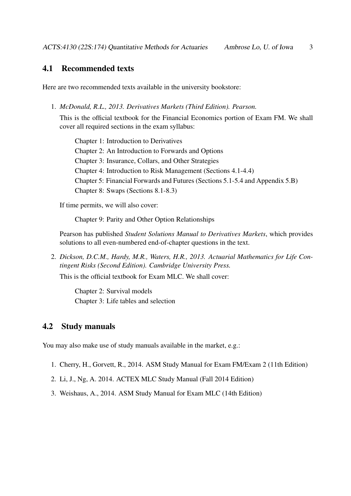### 4.1 Recommended texts

Here are two recommended texts available in the university bookstore:

1. *McDonald, R.L., 2013. Derivatives Markets (Third Edition). Pearson.*

This is the official textbook for the Financial Economics portion of Exam FM. We shall cover all required sections in the exam syllabus:

Chapter 1: Introduction to Derivatives Chapter 2: An Introduction to Forwards and Options Chapter 3: Insurance, Collars, and Other Strategies Chapter 4: Introduction to Risk Management (Sections 4.1-4.4) Chapter 5: Financial Forwards and Futures (Sections 5.1-5.4 and Appendix 5.B) Chapter 8: Swaps (Sections 8.1-8.3)

If time permits, we will also cover:

Chapter 9: Parity and Other Option Relationships

Pearson has published *Student Solutions Manual to Derivatives Markets*, which provides solutions to all even-numbered end-of-chapter questions in the text.

2. *Dickson, D.C.M., Hardy, M.R., Waters, H.R., 2013. Actuarial Mathematics for Life Contingent Risks (Second Edition). Cambridge University Press.*

This is the official textbook for Exam MLC. We shall cover:

Chapter 2: Survival models Chapter 3: Life tables and selection

### 4.2 Study manuals

You may also make use of study manuals available in the market, e.g.:

- 1. Cherry, H., Gorvett, R., 2014. ASM Study Manual for Exam FM/Exam 2 (11th Edition)
- 2. Li, J., Ng, A. 2014. ACTEX MLC Study Manual (Fall 2014 Edition)
- 3. Weishaus, A., 2014. ASM Study Manual for Exam MLC (14th Edition)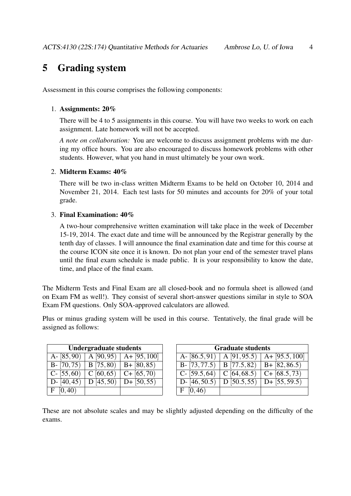# 5 Grading system

Assessment in this course comprises the following components:

#### 1. Assignments: 20%

There will be 4 to 5 assignments in this course. You will have two weeks to work on each assignment. Late homework will not be accepted.

*A note on collaboration:* You are welcome to discuss assignment problems with me during my office hours. You are also encouraged to discuss homework problems with other students. However, what you hand in must ultimately be your own work.

#### 2. Midterm Exams: 40%

There will be two in-class written Midterm Exams to be held on October 10, 2014 and November 21, 2014. Each test lasts for 50 minutes and accounts for 20% of your total grade.

#### 3. Final Examination: 40%

A two-hour comprehensive written examination will take place in the week of December 15-19, 2014. The exact date and time will be announced by the Registrar generally by the tenth day of classes. I will announce the final examination date and time for this course at the course ICON site once it is known. Do not plan your end of the semester travel plans until the final exam schedule is made public. It is your responsibility to know the date, time, and place of the final exam.

The Midterm Tests and Final Exam are all closed-book and no formula sheet is allowed (and on Exam FM as well!). They consist of several short-answer questions similar in style to SOA Exam FM questions. Only SOA-approved calculators are allowed.

Plus or minus grading system will be used in this course. Tentatively, the final grade will be assigned as follows:

| <b>Undergraduate students</b> |           |                                        |                |
|-------------------------------|-----------|----------------------------------------|----------------|
| $A - [85, 90]$                | A[90, 95] | $A + [95, 100]$                        | A- $[86.5,$    |
|                               |           | $B - [70, 75]$ B [75, 80) B + [80, 85) | $B - [73, 77]$ |
| C- $[55, 60)$                 | C[60, 65] | $\overline{C+ [65,70)}$                | $C - 59.5,$    |
| D- $[40, 45)$                 | D[45, 50] | $D + [50, 55]$                         | D- $[46, 50]$  |
| F[0,40)                       |           |                                        | F(0, 46)       |

| <b>Undergraduate students</b> |           |                 | <b>Graduate students</b>                  |  |                                             |
|-------------------------------|-----------|-----------------|-------------------------------------------|--|---------------------------------------------|
| A- $[85,90]$   A $[90,95]$    |           | $A + [95, 100]$ | A- $[86.5, 91]$                           |  | $A[91,95.5] A+[95.5,100]$                   |
| $B - [70, 75)$                | B(75, 80) | $B + [80, 85)$  | B- [73,77.5)   B [77.5,82)   B+ [82,86.5) |  |                                             |
| $C - [55, 60]$                | C[60, 65] | $C + [65, 70]$  | $C - [59.5, 64]$                          |  | $C$ [64, 68.5) $C$ + [68.5, 73)             |
| $D - [40, 45)$                | D(45, 50) | $D + [50, 55]$  | D- $[46, 50.5)$                           |  | $\boxed{D \, [50.5, 55] \, D + [55, 59.5]}$ |
| F [0, 40)                     |           |                 | [0, 46)<br>F                              |  |                                             |

These are not absolute scales and may be slightly adjusted depending on the difficulty of the exams.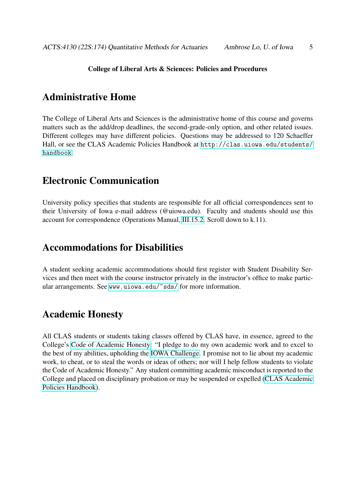#### College of Liberal Arts & Sciences: Policies and Procedures

## Administrative Home

The College of Liberal Arts and Sciences is the administrative home of this course and governs matters such as the add/drop deadlines, the second-grade-only option, and other related issues. Different colleges may have different policies. Questions may be addressed to 120 Schaeffer Hall, or see the CLAS Academic Policies Handbook at [http://clas.uiowa.edu/students/](http://clas.uiowa.edu/students/handbook) [handbook](http://clas.uiowa.edu/students/handbook).

### Electronic Communication

University policy specifies that students are responsible for all official correspondences sent to their University of Iowa e-mail address (@uiowa.edu). Faculty and students should use this account for correspondence (Operations Manual, [III.15.2.](http://www.uiowa.edu/~our/opmanual/iii/15.htm#152) Scroll down to k.11).

### Accommodations for Disabilities

A student seeking academic accommodations should first register with Student Disability Services and then meet with the course instructor privately in the instructor's office to make particular arrangements. See <www.uiowa.edu/~sds/> for more information.

### Academic Honesty

All CLAS students or students taking classes offered by CLAS have, in essence, agreed to the College's [Code of Academic Honesty:](http://clas.uiowa.edu/students/handbook/academic-fraud-honor-code) "I pledge to do my own academic work and to excel to the best of my abilities, upholding the [IOWA Challenge.](http://thechallenge.uiowa.edu/) I promise not to lie about my academic work, to cheat, or to steal the words or ideas of others; nor will I help fellow students to violate the Code of Academic Honesty." Any student committing academic misconduct is reported to the College and placed on disciplinary probation or may be suspended or expelled [\(CLAS Academic](http://clas.uiowa.edu/students/handbook) [Policies Handbook\)](http://clas.uiowa.edu/students/handbook).